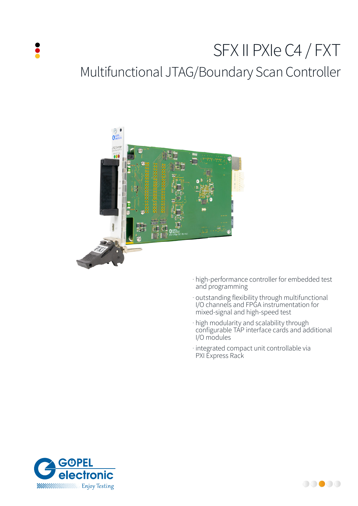# SFX II PXIe C4 / FXT Multifunctional JTAG/Boundary Scan Controller



- · high-performance controller for embedded test and programming
- · outstanding flexibility through multifunctional I/O channels and FPGA instrumentation for mixed-signal and high-speed test
- · high modularity and scalability through configurable TAP interface cards and additional I/O modules
- · integrated compact unit controllable via PXI Express Rack